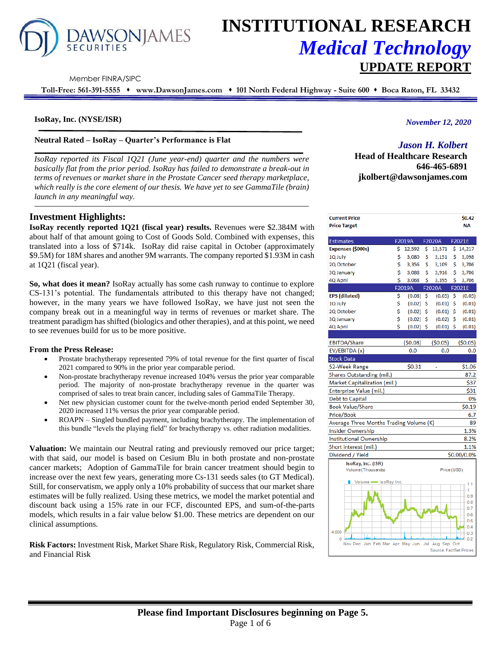

# **INSTITUTIONAL RESEARCH** *Medical Technology* **UPDATE REPORT**

Member FINRA/SIPC

**Toll-Free: 561-391-5555** ⬧ **www.DawsonJames.com** ⬧ **101 North Federal Highway - Suite 600** ⬧ **Boca Raton, FL 33432**

#### **IsoRay, Inc. (NYSE/ISR)**

**Neutral Rated – IsoRay – Quarter's Performance is Flat** 

*IsoRay reported its Fiscal 1Q21 (June year-end) quarter and the numbers were basically flat from the prior period. IsoRay has failed to demonstrate a break-out in terms of revenues or market share in the Prostate Cancer seed therapy marketplace, which really is the core element of our thesis. We have yet to see GammaTile (brain) launch in any meaningful way.* 

## **Investment Highlights:**

**IsoRay recently reported 1Q21 (fiscal year) results.** Revenues were \$2.384M with about half of that amount going to Cost of Goods Sold. Combined with expenses, this translated into a loss of \$714k. IsoRay did raise capital in October (approximately \$9.5M) for 18M shares and another 9M warrants. The company reported \$1.93M in cash at 1Q21 (fiscal year).

**So, what does it mean?** IsoRay actually has some cash runway to continue to explore CS-131's potential. The fundamentals attributed to this therapy have not changed; however, in the many years we have followed IsoRay, we have just not seen the company break out in a meaningful way in terms of revenues or market share. The treatment paradigm has shifted (biologics and other therapies), and at this point, we need to see revenues build for us to be more positive.

#### **From the Press Release:**

- Prostate brachytherapy represented 79% of total revenue for the first quarter of fiscal 2021 compared to 90% in the prior year comparable period.
- Non-prostate brachytherapy revenue increased 104% versus the prior year comparable period. The majority of non-prostate brachytherapy revenue in the quarter was comprised of sales to treat brain cancer, including sales of GammaTile Therapy.
- Net new physician customer count for the twelve-month period ended September 30, 2020 increased 11% versus the prior year comparable period.
- ROAPN Singled bundled payment, including brachytherapy. The implementation of this bundle "levels the playing field" for brachytherapy vs. other radiation modalities.

**Valuation:** We maintain our Neutral rating and previously removed our price target; with that said, our model is based on Cesium Blu in both prostate and non-prostate cancer markets; Adoption of GammaTile for brain cancer treatment should begin to increase over the next few years, generating more Cs-131 seeds sales (to GT Medical). Still, for conservatism, we apply only a 10% probability of success that our market share estimates will be fully realized. Using these metrics, we model the market potential and discount back using a 15% rate in our FCF, discounted EPS, and sum-of-the-parts models, which results in a fair value below \$1.00. These metrics are dependent on our clinical assumptions.

**Risk Factors:** Investment Risk, Market Share Risk, Regulatory Risk, Commercial Risk, and Financial Risk

## *November 12, 2020*

## *Jason H. Kolbert*

**Head of Healthcare Research 646-465-6891 jkolbert@dawsonjames.com**

| <b>Current Price</b><br>Price Target    |    |             |     |             | \$0.42<br>NΑ |
|-----------------------------------------|----|-------------|-----|-------------|--------------|
|                                         |    |             |     |             |              |
| Estimates                               |    | F2019A      |     | F2020A      | F2021E       |
| Expenses (\$000s)                       | \$ | 12,592      | \$  | 13,571      | \$<br>14,217 |
| LQ July                                 | \$ | 3,080       | \$  | 3,151       | \$<br>3,098  |
| 2Q October                              | \$ | 3,356       | \$  | 3,109       | \$<br>3,706  |
| <b>Q</b> January                        | \$ | 3,088       | \$  | 3,916       | \$<br>3,706  |
| IQ April                                | \$ | 3,068       | \$  | 3,395       | \$<br>3,706  |
|                                         |    | F2019A      |     | F2020A      | F2021E       |
| PS (diluted)                            | \$ | (0.08)      | \$  | (0.05)      | \$<br>(0.05) |
| LQ July                                 | \$ | (0.02)      | \$  | (0.01)      | \$<br>(0.01) |
| 2Q October                              | \$ | (0.02)      | \$  | $(0.01)$ \$ | (0.01)       |
| <b>Q</b> January                        | \$ | (0.02)      | \$  | $(0.02)$ \$ | (0.01)       |
| IQ April                                | Ś  | $(0.02)$ \$ |     | $(0.01)$ \$ | (0.01)       |
|                                         |    |             |     |             |              |
| <b>EBITDA/Share</b>                     |    | (50.08)     |     | (50.05)     | (50.05)      |
| EV/EBITDA (x)                           |    | 0.0         |     | 0.0         | 0.0          |
| Stock Data                              |    |             |     |             |              |
| 52-Week Range                           |    | \$0.31      |     | L,          | \$1.06       |
| Shares Outstanding (mil.)               |    |             |     |             | 87.2         |
| <b>Market Capitalization (mil.)</b>     |    |             |     |             | \$37         |
| Enterprise Value (mil.)                 |    |             |     |             | \$31         |
| Debt to Capital                         |    |             |     |             | 0%           |
| Book Value/Share                        |    |             |     |             | <b>SO.19</b> |
| Price/Book                              |    |             |     |             | 6.7          |
| Average Three Months Trading Volume (K) |    |             |     |             | 89           |
| nsider Ownership                        |    |             |     |             | 1.3%         |
| nstitutional Ownership                  |    |             |     |             | 8.2%         |
| Short interest (mil.)                   |    |             |     |             | 1.1%         |
| Dividend / Yield                        |    |             |     |             | \$0.00/0.0%  |
| IsoRay, Inc. (ISR)                      |    |             |     |             |              |
| Volume (Thousands)                      |    |             |     | Price (USD) |              |
| Volume SoRay, Inc.<br>П                 |    |             |     |             | 1.1          |
|                                         |    |             |     |             | 1            |
|                                         |    |             |     |             | 0.9<br>0.8   |
|                                         |    |             |     |             | 0.7          |
|                                         |    |             |     |             | 0.6          |
|                                         |    |             |     |             | 0.5          |
| 4,000                                   |    |             |     |             | 0.4          |
| П<br>0                                  |    |             |     |             | 0.3<br>0.2   |
| Nov Dec Jan Feb Mar Apr May Jun         |    |             | Jul | Aug Sep Oct |              |

Source: FactSet Prices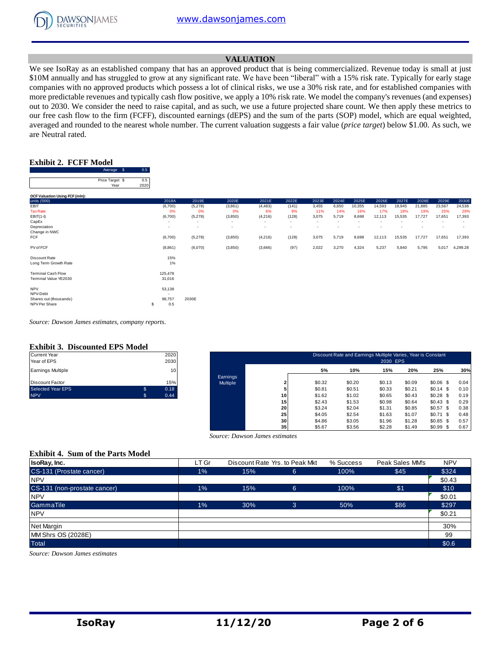

## **VALUATION**

We see IsoRay as an established company that has an approved product that is being commercialized. Revenue today is small at just \$10M annually and has struggled to grow at any significant rate. We have been "liberal" with a 15% risk rate. Typically for early stage companies with no approved products which possess a lot of clinical risks, we use a 30% risk rate, and for established companies with more predictable revenues and typically cash flow positive, we apply a 10% risk rate. We model the company's revenues (and expenses) out to 2030. We consider the need to raise capital, and as such, we use a future projected share count. We then apply these metrics to our free cash flow to the firm (FCFF), discounted earnings (dEPS) and the sum of the parts (SOP) model, which are equal weighted, averaged and rounded to the nearest whole number. The current valuation suggests a fair value (*price target*) below \$1.00. As such, we are Neutral rated.

## **Exhibit 2. FCFF Model**

|                                         | Average \$              | 0.5         |                          |         |                          |          |                          |                          |                          |                          |                          |        |        |                          |                          |
|-----------------------------------------|-------------------------|-------------|--------------------------|---------|--------------------------|----------|--------------------------|--------------------------|--------------------------|--------------------------|--------------------------|--------|--------|--------------------------|--------------------------|
|                                         | Price Target \$<br>Year | 0.5<br>2020 |                          |         |                          |          |                          |                          |                          |                          |                          |        |        |                          |                          |
| DCF Valuation Using FCF (mln):          |                         |             |                          |         |                          |          |                          |                          |                          |                          |                          |        |        |                          |                          |
| units ('000)                            |                         |             | 2018A                    | 2019E   | 2020E                    | 2021E    | 2022E                    | 2023E                    | 2024E                    | 2025E                    | 2026E                    | 2027E  | 2028E  | 2029E                    | 2030E                    |
| EBIT                                    |                         |             | (6,700)                  | (5,278) | (3,861)                  | (4, 483) | (141)                    | 3,455                    | 6,650                    | 10,355                   | 14,593                   | 18,945 | 21,885 | 23,567                   | 24,538                   |
| <b>Tax Rate</b>                         |                         |             | 0%                       | 0%      | 0%                       | 6%       | 9%                       | 11%                      | 14%                      | 16%                      | 17%                      | 18%    | 19%    | 25%                      | 29%                      |
| $EBIT(1-t)$                             |                         |             | (6,700)                  | (5,278) | (3,850)                  | (4,216)  | (128)                    | 3,075                    | 5,719                    | 8,698                    | 12,113                   | 15,535 | 17,727 | 17,651                   | 17,393                   |
| CapEx                                   |                         |             | $\overline{\phantom{a}}$ | $\sim$  | $\overline{\phantom{a}}$ | ٠        | $\sim$                   | $\overline{\phantom{a}}$ | $\overline{\phantom{a}}$ | $\overline{\phantom{a}}$ | $\overline{\phantom{a}}$ |        | ٠      | $\overline{\phantom{a}}$ | $\overline{\phantom{a}}$ |
| Depreciation                            |                         |             | ٠                        | $\sim$  | $\overline{\phantom{a}}$ |          | $\overline{\phantom{a}}$ | $\overline{\phantom{a}}$ | $\overline{\phantom{a}}$ | $\overline{\phantom{a}}$ |                          |        |        | $\overline{\phantom{a}}$ | $\overline{\phantom{a}}$ |
| Change in NWC                           |                         |             |                          |         |                          |          |                          |                          |                          |                          |                          |        |        |                          |                          |
| FCF                                     |                         |             | (6,700)                  | (5,278) | (3,850)                  | (4,216)  | (128)                    | 3,075                    | 5,719                    | 8,698                    | 12,113                   | 15,535 | 17,727 | 17,651                   | 17,393                   |
| PV of FCF                               |                         |             | (8,861)                  | (6,070) | (3,850)                  | (3,666)  | (97)                     | 2,022                    | 3,270                    | 4,324                    | 5,237                    | 5,840  | 5,795  | 5,017                    | 4,299.28                 |
| Discount Rate                           |                         |             | 15%                      |         |                          |          |                          |                          |                          |                          |                          |        |        |                          |                          |
| Long Term Growth Rate                   |                         |             | 1%                       |         |                          |          |                          |                          |                          |                          |                          |        |        |                          |                          |
| <b>Terminal Cash Flow</b>               |                         |             | 125,478                  |         |                          |          |                          |                          |                          |                          |                          |        |        |                          |                          |
| Terminal Value YE2030                   |                         |             | 31,016                   |         |                          |          |                          |                          |                          |                          |                          |        |        |                          |                          |
| <b>NPV</b>                              |                         |             | 53,138                   |         |                          |          |                          |                          |                          |                          |                          |        |        |                          |                          |
| NPV-Debt                                |                         |             | $\overline{\phantom{a}}$ | 2030E   |                          |          |                          |                          |                          |                          |                          |        |        |                          |                          |
| Shares out (thousands)<br>NPV Per Share |                         | \$          | 98,757<br>0.5            |         |                          |          |                          |                          |                          |                          |                          |        |        |                          |                          |
|                                         |                         |             |                          |         |                          |          |                          |                          |                          |                          |                          |        |        |                          |                          |

*Source: Dawson James estimates, company reports.*

#### **Exhibit 3. Discounted EPS Model**

| <b>Current Year</b>      |     | 2020 |
|--------------------------|-----|------|
| Year of EPS              |     | 2030 |
| <b>Earnings Multiple</b> |     | 10   |
| <b>Discount Factor</b>   |     | 15%  |
| <b>Selected Year EPS</b> | \$. | 0.18 |
| <b>NPV</b>               | \$. | 0.44 |

| Current Year<br>Year of EPS |                | 2020<br>2030 |          |    |        | Discount Rate and Earnings Multiple Varies, Year is Constant | 2030 EPS |        |            |      |
|-----------------------------|----------------|--------------|----------|----|--------|--------------------------------------------------------------|----------|--------|------------|------|
| Earnings Multiple           |                | 10           |          |    | 5%     | 10%                                                          | 15%      | 20%    | 25%        | 30%  |
|                             |                |              | Earnings |    |        |                                                              |          |        |            |      |
| Discount Factor             |                | 15%          | Multiple |    | \$0.32 | \$0.20                                                       | \$0.13   | \$0.09 | $$0.06$ \$ | 0.04 |
| Selected Year EPS           | $\mathfrak{L}$ | 0.18         |          |    | \$0.81 | \$0.51                                                       | \$0.33   | \$0.21 | $$0.14$ \$ | 0.10 |
| <b>NPV</b>                  |                | 0.44         |          | 10 | \$1.62 | \$1.02                                                       | \$0.65   | \$0.43 | $$0.28$ \$ | 0.19 |
|                             |                |              |          | 15 | \$2.43 | \$1.53                                                       | \$0.98   | \$0.64 | \$0.43\$   | 0.29 |
|                             |                |              |          | 20 | \$3.24 | \$2.04                                                       | \$1.31   | \$0.85 | $$0.57$ \$ | 0.38 |
|                             |                |              |          | 25 | \$4.05 | \$2.54                                                       | \$1.63   | \$1.07 | $$0.71$ \$ | 0.48 |
|                             |                |              |          | 30 | \$4.86 | \$3.05                                                       | \$1.96   | \$1.28 | $$0.85$ \$ | 0.57 |
|                             |                |              |          | 35 | \$5.67 | \$3.56                                                       | \$2.28   | \$1.49 | $$0.99$ \$ | 0.67 |

#### **Exhibit 4. Sum of the Parts Model**

|                                          |       | Source: Dawson James estimates | -- - | ----      | .               | ----       |
|------------------------------------------|-------|--------------------------------|------|-----------|-----------------|------------|
|                                          |       |                                |      |           |                 |            |
|                                          |       |                                |      |           |                 |            |
| <b>Exhibit 4. Sum of the Parts Model</b> |       |                                |      |           |                 |            |
| <b>IsoRay, Inc.</b>                      | LT Gr | Discount Rate Yrs. to Peak Mkt |      | % Success | Peak Sales MM's | <b>NPV</b> |
| CS-131 (Prostate cancer)                 | 1%    | 15%                            | 6    | 100%      | \$45            | \$324      |
| <b>NPV</b>                               |       |                                |      |           |                 | \$0.43     |
| CS-131 (non-prostate cancer)             | 1%    | 15%                            | 6    | 100%      | \$1             | \$10       |
| <b>NPV</b>                               |       |                                |      |           |                 | \$0.01     |
| GammaTile                                | 1%    | 30%                            | 3    | 50%       | \$86            | \$297      |
| <b>NPV</b>                               |       |                                |      |           |                 | \$0.21     |
| Net Margin                               |       |                                |      |           |                 | 30%        |
| MM Shrs OS (2028E)                       |       |                                |      |           |                 | 99         |
| <b>Total</b>                             |       |                                |      |           |                 | \$0.6      |

*Source: Dawson James estimates*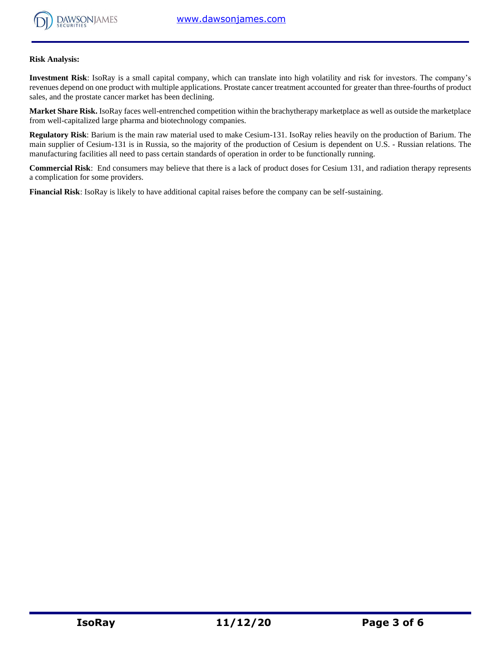

#### **Risk Analysis:**

**Investment Risk**: IsoRay is a small capital company, which can translate into high volatility and risk for investors. The company's revenues depend on one product with multiple applications. Prostate cancer treatment accounted for greater than three-fourths of product sales, and the prostate cancer market has been declining.

**Market Share Risk.** IsoRay faces well-entrenched competition within the brachytherapy marketplace as well as outside the marketplace from well-capitalized large pharma and biotechnology companies.

**Regulatory Risk**: Barium is the main raw material used to make Cesium-131. IsoRay relies heavily on the production of Barium. The main supplier of Cesium-131 is in Russia, so the majority of the production of Cesium is dependent on U.S. - Russian relations. The manufacturing facilities all need to pass certain standards of operation in order to be functionally running.

**Commercial Risk**: End consumers may believe that there is a lack of product doses for Cesium 131, and radiation therapy represents a complication for some providers.

**Financial Risk**: IsoRay is likely to have additional capital raises before the company can be self-sustaining.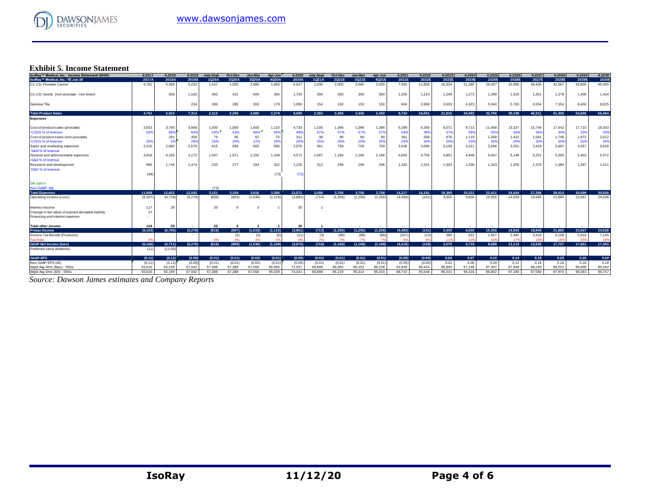

# **Exhibit 5. Income Statement**

| IsoRay™ Medical, Inc.: Income Statement (\$000)      | 6.2017   | 6.2018  | 6.2019  | <b>July-Sept</b> | Oct-Dec      | Jan-Mar  | Apr-Jun  | 6.2020                   | July-Sept | Oct-Dec  | <b>Jan-Mar</b> | Apr-Jun  | 6.2021   | 6.2022 | 6.2023 | 6.2024   | 6.2025 | 6.2026 | 6.2027 | 6.2028 | 6.2029 | 6.2030 |
|------------------------------------------------------|----------|---------|---------|------------------|--------------|----------|----------|--------------------------|-----------|----------|----------------|----------|----------|--------|--------|----------|--------|--------|--------|--------|--------|--------|
| IsoRay™ Medical, Inc.: YE Jun 30                     | 2017A    | 2018A   | 2019A   | 1Q20A            | 2Q20A        | 3Q20A    | 4Q20A    | 2020A                    | 1Q21A     | 2Q21E    | 3Q21E          | 4Q21E    | 2021E    | 2022E  | 2023E  | 2024E    | 2025E  | 2026E  | 2027E  | 2028E  | 2029E  | 2030E  |
| Cs-131 Prostate Cancer                               | 4.761    | 5.369   | 5.252   | 1.547            | 1.500        | 2,080    | 1.800    | 6,927                    | 1.930     | 2.000    | 2.000          | 2.000    | 7.930    | 11.858 | 16,934 | 21,385   | 26,427 | 32,090 | 38.405 | 42.567 | 43.805 | 45,405 |
| Cs-131 Seeds (non-prostate - non-brain)              |          | 506     | 1,162   | 482              | 421          | 500      | 300      | 1,703                    | 300       | 300      | 300            | 300      | 1,200    | 1,224  | 1,248  | 1,273    | 1,299  | 1,325  | 1,351  | 1,378  | 1,406  | 1,434  |
| Gamma Tile                                           |          |         | 224     | 286              | 285          | 300      | 179      | 1,050                    | 154       | 150      | 150            | 150      | 604      | 2,968  | 3,633  | 4,323    | 5,040  | 5,783  | 6,554  | 7,354  | 8.456  | 8,625  |
| <b>Total Product Sales</b>                           | 4.761    | 5.923   | 7.314   | 2.315            | 2.206        | 2.880    | 2.279    | 9.680                    | 2.384     | 2,450    | 2.450          | 2.450    | 9.734    | 16.051 | 21.815 | 26.982   | 32.766 | 39.198 | 46.311 | 51,300 | 53,666 | 55,464 |
| <b>Expenses</b>                                      |          |         |         |                  |              |          |          |                          |           |          |                |          |          |        |        |          |        |        |        |        |        |        |
| Cost of product sales (prostate)                     | 3.923    | 3.790   | 3,808   | 1,000            | 1,000        | 1,600    | 1,133    | 4,733                    | 1,100     | 1.396    | 1,396          | 1,396    | 5,289    | 6,260  | 8,072  | 9,713    | 11,468 | 13,327 | 15.746 | 17,442 | 17,710 | 18,303 |
| COGS % of revenue                                    | 82%      | 68%     | 64%     | 43%              | 43%          | 56%      | 569      | 49%                      | 57%       | 57%      | 57%            | 57%      | 54%      | 399    | 379    | 36%      | 35%    | 34%    | 34%    | 349    | 33%    | 33%    |
| Cost of product sales (non-prostate)                 |          | 291     | 459     | 79               | 95           | 62       | 75       | 311                      | 38        | 90       | 90             | 9(       | 361      | 838    | 976    | 1,119    | 1,268  | 1,422  | 1,581  | 1,746  | 1,972  | 2,012  |
| COGS % of revenue                                    | 209      | 5%      | 28%     | 20%              | 20%          | 12%      | 20%      | 20%                      | 25%       | 20%      | 20%            | 20%      | 20%      | 20%    | 20%    | 20%      | 20%    | 20%    | 20%    | 20%    | 20%    | 20%    |
| Sales and marketing expenses                         | 2,310    | 2,660   | 2,679   | 815              | 666          | 805      | 690      | 2,976                    | 581       | 759      | 759            | 759      | 3,036    | 3,096  | 3,158  | 3,221    | 3,286  | 3,351  | 3,418  | 3.487  | 3,557  | 3,628  |
| S&M% of revenue                                      |          |         |         |                  |              |          |          |                          |           |          |                |          |          |        |        |          |        |        |        |        |        |        |
| General and administrative expenses                  | 3.918    | 4.165   | 4.172   | 1,097            | 1,071        | 1,155    | 1,248    | 4,571                    | 1,067     | 1,166    | 1,166          | 1.166    | 4,662    | 4,756  | 4,851  | 4,948    | 5,047  | 5.148  | 5,251  | 5,356  | 5.463  | 5,572  |
| G&A% of revenue                                      |          |         |         |                  |              |          |          |                          |           |          |                |          |          |        |        |          |        |        |        |        |        |        |
| Research and development                             | 965      | 1.746   | 1,474   | 233              | 277          | 294      | 322      | 1,126                    | 312       | 296      | 296            | 296      | 1.182    | 1,241  | 1,303  | 1,330    | 1,343  | 1.356  | 1.370  | 1,384  | 1,397  | 1,411  |
| R&D % of revenue                                     |          |         |         |                  |              |          |          |                          |           |          |                |          |          |        |        |          |        |        |        |        |        |        |
|                                                      | (48)     |         |         |                  |              |          | (73)     | (73)                     |           |          |                |          |          |        |        |          |        |        |        |        |        |        |
| <b>Stk Optn's</b>                                    |          |         |         |                  |              |          |          |                          |           |          |                |          |          |        |        |          |        |        |        |        |        |        |
| Non-GAAP, Adi                                        |          |         |         | (73)             |              |          |          |                          |           |          |                |          |          |        |        |          |        |        |        |        |        |        |
| <b>Total Expenses</b>                                | 11.068   | 12.652  | 12.592  | 3.151            | 3.109        | 3.916    | 3.395    | 13,571                   | 3.098     | 3.706    | 3.706          | 3.706    | 14.217   | 16.191 | 18.360 | 20.331   | 22.411 | 24.604 | 27.366 | 29,414 | 30,099 | 30,926 |
| Operating income (Loss)                              | (6, 307) | (6.729) | (5,278) | (836)            | (903)        | (1,036)  | (1, 116) | (3,891)                  | (714)     | (1,256)  | (1,256)        | (1,256)  | (4, 483) | (141)  | 3.455  | 6.650    | 10.355 | 14.593 | 18.945 | 21.885 | 23,567 | 24,538 |
| Interest income                                      | 117      | 29      |         | 20               | $\mathbf{f}$ |          |          | 30                       |           |          |                |          |          |        |        |          |        |        |        |        |        |        |
| Change in fair value of warrant derivative liability | 27       |         |         |                  |              |          |          |                          |           |          |                |          |          |        |        |          |        |        |        |        |        |        |
| Financing and interest expense                       |          |         |         |                  |              |          |          |                          |           |          |                |          |          |        |        |          |        |        |        |        |        |        |
| <b>Total other income</b>                            | 144      | 29      |         | 20               | -6           | -3       |          | 30                       |           |          |                |          |          |        |        |          |        |        |        |        |        |        |
| <b>Pretax Income</b>                                 | (6.163)  | (6.700) | (5.278) | (816)            | (897)        | (1, 033) | (1, 115) | (3.861)                  | (713)     | (1.256)  | (1.256)        | (1.256)  | (4.483)  | (141)  | 3.455  | 6.650    | 10.355 | 14.593 | 18.945 | 21.885 | 23.567 | 24,538 |
| Income Tax Benefit (Provision)                       |          |         |         |                  | (2)          | (3)      | (6)      | (11)                     | (3)       | (88)     | (88)           | (88)     | (267)    | (13)   | 380    | 931      | 1.657  | 2.481  | 3.410  | 4,158  | 5,916  | 7,145  |
| <b>Tax Rate</b>                                      |          |         |         |                  | 4%           |          |          |                          | 7%        | 7%       | 7%             |          |          |        |        | $14^{s}$ | 16     | 179    |        |        | 25%    | 29%    |
| <b>GAAP Net Income (loss)</b>                        | (6.166)  | (6,711) | (5,278) | (816)            | (899)        | (1,036)  | (1, 109) | (3,872)                  | (716)     | (1, 168) | (1, 168)       | (1, 168) | (4,216)  | (128)  | 3.075  | 5.719    | 8.698  | 12.113 | 15.535 | 17.727 | 17.651 | 17.393 |
| Preferred stock dividends                            | (11)     | (11.00) |         |                  |              |          |          | $\overline{\phantom{a}}$ |           |          |                |          |          |        |        |          |        |        |        |        |        |        |
| <b>GAAP-EPS</b>                                      | (0.11)   | (0.12)  | (0.08)  | (0.01)           | (0.01)       | (0.02)   | (0.01)   | (0.05)                   | (0.01)    | (0.01)   | (0.01)         | (0.01)   | (0.05)   | (0.00) | 0.04   | 0.07     | 0.10   | 0.14   | 0.18   | 0.20   | 0.20   | 0.20   |
| Non GAAP EPS (dil)                                   | (0.11)   | (0.12)  | (0.08)  | (0.01)           | (0.01)       | (0.02)   | (0.01)   | (0.05)                   | (0.01)    | (0.01)   | (0.01)         | (0.01)   | (0.05)   | (0.00) | 0.03   | 0.06     | 0.09   | 0.12   | 0.16   | 0.18   | 0.18   | 0.18   |
| Wotd Ava Shrs (Bas) - '000s                          | 55,016   | 55.159  | 67.042  | 67.388           | 67.388       | 67.558   | 85.895   | 72.057                   | 68.898    | 86.066   | 86.152         | 86.238   | 81.839   | 86.454 | 86,800 | 87.148   | 87.497 | 87.848 | 88.200 | 88.553 | 88,908 | 89.264 |
| Wgtd Avg Shrs (Dil) - '000s                          | 55,016   | 55.159  | 67.042  | 67.388           | 67.388       | 67.558   | 95.029   | 74.341                   | 68,898    | 95.219   | 95.314         | 95.410   | 88.710   | 95,648 | 96.031 | 96.416   | 96.802 | 97.190 | 97.580 | 97.970 | 98,363 | 98.757 |

*Source: Dawson James estimates and Company Reports*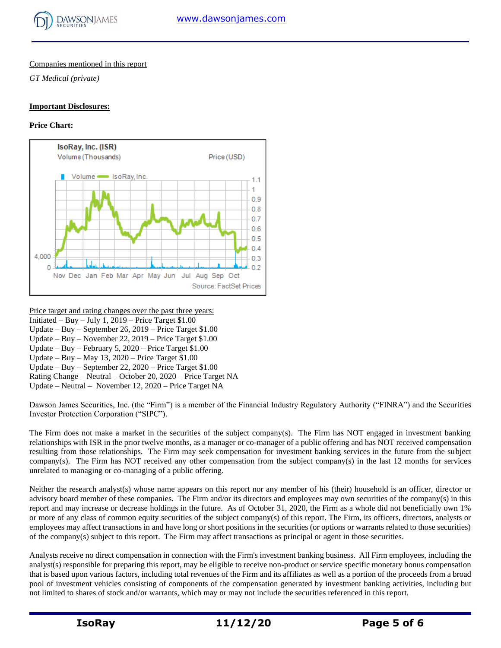

## Companies mentioned in this report

*GT Medical (private)*

#### **Important Disclosures:**

## **Price Chart:**



Price target and rating changes over the past three years: Initiated – Buy – July 1, 2019 – Price Target  $$1.00$ Update – Buy – September 26, 2019 – Price Target \$1.00 Update – Buy – November 22, 2019 – Price Target \$1.00 Update – Buy – February 5, 2020 – Price Target \$1.00 Update – Buy – May 13, 2020 – Price Target \$1.00 Update – Buy – September 22, 2020 – Price Target \$1.00 Rating Change – Neutral – October 20, 2020 – Price Target NA Update – Neutral – November 12, 2020 – Price Target NA

Dawson James Securities, Inc. (the "Firm") is a member of the Financial Industry Regulatory Authority ("FINRA") and the Securities Investor Protection Corporation ("SIPC").

The Firm does not make a market in the securities of the subject company(s). The Firm has NOT engaged in investment banking relationships with ISR in the prior twelve months, as a manager or co-manager of a public offering and has NOT received compensation resulting from those relationships. The Firm may seek compensation for investment banking services in the future from the subject company(s). The Firm has NOT received any other compensation from the subject company(s) in the last 12 months for services unrelated to managing or co-managing of a public offering.

Neither the research analyst(s) whose name appears on this report nor any member of his (their) household is an officer, director or advisory board member of these companies. The Firm and/or its directors and employees may own securities of the company(s) in this report and may increase or decrease holdings in the future. As of October 31, 2020, the Firm as a whole did not beneficially own 1% or more of any class of common equity securities of the subject company(s) of this report. The Firm, its officers, directors, analysts or employees may affect transactions in and have long or short positions in the securities (or options or warrants related to those securities) of the company(s) subject to this report. The Firm may affect transactions as principal or agent in those securities.

Analysts receive no direct compensation in connection with the Firm's investment banking business. All Firm employees, including the analyst(s) responsible for preparing this report, may be eligible to receive non-product or service specific monetary bonus compensation that is based upon various factors, including total revenues of the Firm and its affiliates as well as a portion of the proceeds from a broad pool of investment vehicles consisting of components of the compensation generated by investment banking activities, including but not limited to shares of stock and/or warrants, which may or may not include the securities referenced in this report.